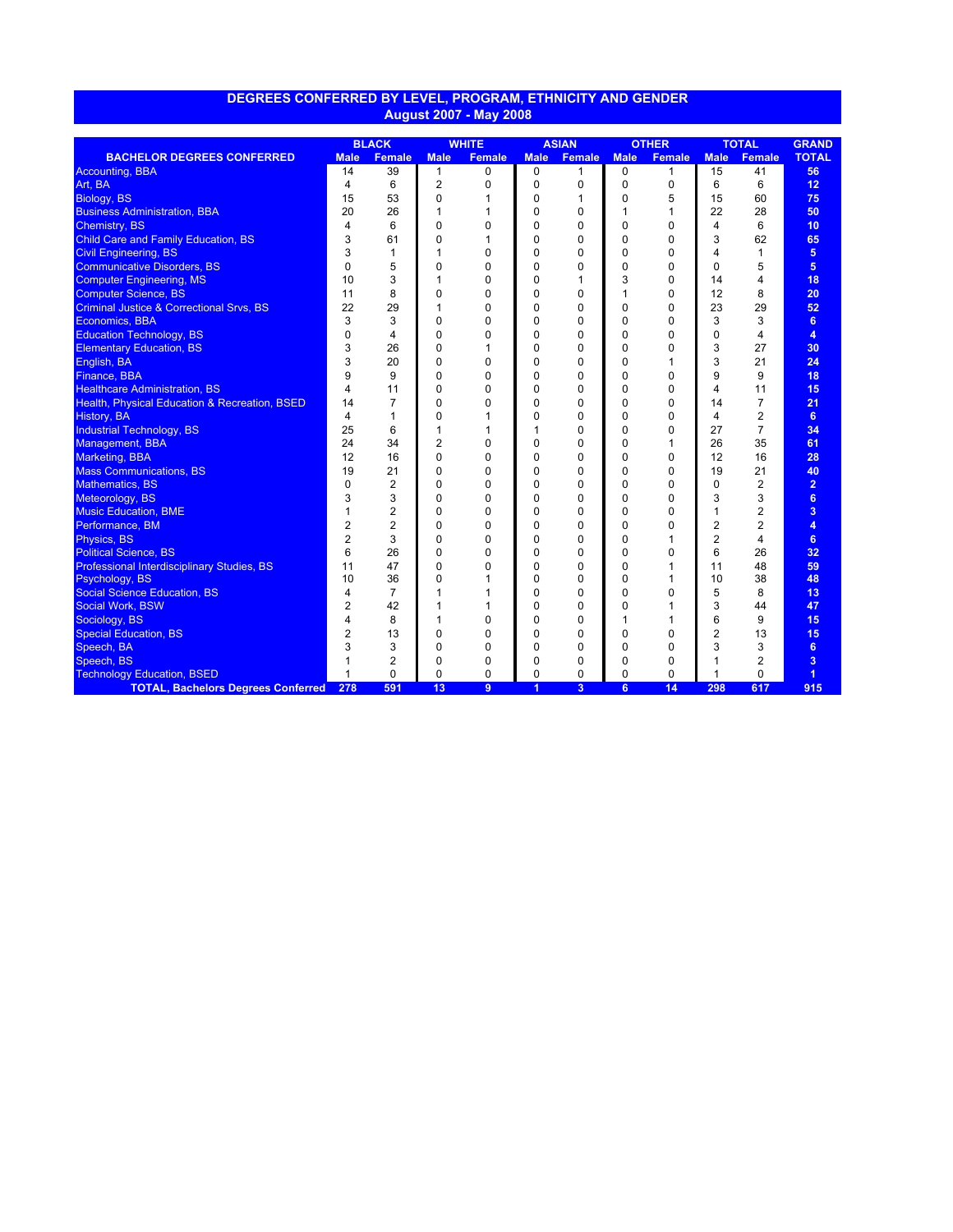|                                                          | <b>BLACK</b>   |                | <b>WHITE</b>   |               | <b>ASIAN</b> |                | <b>OTHER</b> |               | <b>TOTAL</b>   |                | <b>GRAND</b>   |
|----------------------------------------------------------|----------------|----------------|----------------|---------------|--------------|----------------|--------------|---------------|----------------|----------------|----------------|
| <b>BACHELOR DEGREES CONFERRED</b>                        | <b>Male</b>    | <b>Female</b>  | <b>Male</b>    | <b>Female</b> | <b>Male</b>  | <b>Female</b>  | <b>Male</b>  | <b>Female</b> | <b>Male</b>    | <b>Female</b>  | <b>TOTAL</b>   |
| <b>Accounting, BBA</b>                                   | 14             | 39             | 1              | $\mathbf 0$   | 0            | 1              | 0            | 1             | 15             | 41             | 56             |
| Art, BA                                                  | 4              | 6              | $\overline{2}$ | 0             | 0            | 0              | $\mathbf 0$  | 0             | 6              | 6              | 12             |
| Biology, BS                                              | 15             | 53             | 0              | 1             | 0            | 1              | 0            | 5             | 15             | 60             | 75             |
| <b>Business Administration, BBA</b>                      | 20             | 26             | 1              | 1             | 0            | 0              | 1            | 1             | 22             | 28             | 50             |
| <b>Chemistry, BS</b>                                     | $\overline{4}$ | 6              | $\Omega$       | 0             | 0            | 0              | $\Omega$     | $\mathbf 0$   | 4              | 6              | 10             |
| <b>Child Care and Family Education, BS</b>               | 3              | 61             | 0              | 1             | 0            | 0              | $\mathbf 0$  | $\mathbf 0$   | 3              | 62             | 65             |
| <b>Civil Engineering, BS</b>                             | 3              | 1              | 1              | 0             | 0            | 0              | $\mathbf 0$  | $\mathbf 0$   | 4              | 1              | 5              |
| <b>Communicative Disorders, BS</b>                       | $\Omega$       | 5              | $\Omega$       | 0             | 0            | 0              | $\Omega$     | $\mathbf 0$   | $\Omega$       | 5              | 5              |
| <b>Computer Engineering, MS</b>                          | 10             | 3              | 1              | 0             | 0            |                | 3            | 0             | 14             | 4              | 18             |
| <b>Computer Science, BS</b>                              | 11             | 8              | 0              | 0             | 0            | 0              | $\mathbf{1}$ | 0             | 12             | 8              | 20             |
| <b>Criminal Justice &amp; Correctional Srvs, BS</b>      | 22             | 29             | 1              | 0             | 0            | 0              | $\mathbf 0$  | $\mathbf 0$   | 23             | 29             | 52             |
| Economics, BBA                                           | 3              | 3              | 0              | 0             | 0            | 0              | $\mathbf 0$  | $\mathbf 0$   | 3              | 3              | 6              |
| <b>Education Technology, BS</b>                          | 0              | 4              | 0              | 0             | 0            | 0              | $\mathbf 0$  | $\mathbf 0$   | 0              | 4              | 4              |
| <b>Elementary Education, BS</b>                          | 3              | 26             | $\Omega$       |               | 0            | 0              | $\Omega$     | $\mathbf 0$   | 3              | 27             | 30             |
| English, BA                                              | 3              | 20             | 0              | 0             | 0            | 0              | 0            | 1             | 3              | 21             | 24             |
| Finance, BBA                                             | 9              | 9              | 0              | 0             | 0            | 0              | $\mathbf 0$  | $\mathbf 0$   | 9              | 9              | 18             |
| <b>Healthcare Administration, BS</b>                     | 4              | 11             | 0              | 0             | 0            | 0              | $\mathbf 0$  | $\mathbf 0$   | 4              | 11             | 15             |
| <b>Health, Physical Education &amp; Recreation, BSED</b> | 14             | $\overline{7}$ | 0              | 0             | 0            | 0              | $\mathbf 0$  | $\mathbf 0$   | 14             | $\overline{7}$ | 21             |
| <b>History, BA</b>                                       | 4              | 1              | $\Omega$       |               | $\Omega$     | 0              | $\Omega$     | $\mathbf 0$   | 4              | 2              | 6              |
| <b>Industrial Technology, BS</b>                         | 25             | 6              | 1              | 1             | 1            | 0              | $\mathbf 0$  | 0             | 27             | $\overline{7}$ | 34             |
| Management, BBA                                          | 24             | 34             | $\overline{2}$ | 0             | 0            | 0              | 0            | 1             | 26             | 35             | 61             |
| <b>Marketing, BBA</b>                                    | 12             | 16             | $\Omega$       | 0             | 0            | 0              | $\Omega$     | $\mathbf 0$   | 12             | 16             | 28             |
| <b>Mass Communications, BS</b>                           | 19             | 21             | 0              | 0             | 0            | 0              | $\Omega$     | $\mathbf 0$   | 19             | 21             | 40             |
| <b>Mathematics, BS</b>                                   | 0              | $\overline{2}$ | 0              | 0             | 0            | 0              | $\Omega$     | $\mathbf 0$   | $\Omega$       | $\overline{2}$ | $\overline{2}$ |
| Meteorology, BS                                          | 3              | 3              | 0              | 0             | 0            | 0              | $\mathbf 0$  | $\mathbf 0$   | 3              | 3              | 6              |
| <b>Music Education, BME</b>                              | 1              | $\overline{2}$ | 0              | 0             | 0            | 0              | $\mathbf 0$  | 0             | $\mathbf{1}$   | 2              | 3              |
| Performance, BM                                          | $\overline{2}$ | 2              | $\Omega$       | 0             | 0            | 0              | $\Omega$     | $\Omega$      | $\overline{2}$ | $\overline{2}$ | 4              |
| Physics, BS                                              | $\overline{2}$ | 3              | 0              | 0             | 0            | 0              | $\Omega$     | 1             | $\overline{2}$ | 4              | 6              |
| <b>Political Science, BS</b>                             | 6              | 26             | 0              | 0             | 0            | 0              | $\Omega$     | $\mathbf 0$   | 6              | 26             | 32             |
| Professional Interdisciplinary Studies, BS               | 11             | 47             | $\Omega$       | 0             | 0            | 0              | $\mathbf 0$  | 1             | 11             | 48             | 59             |
| Psychology, BS                                           | 10             | 36             | $\Omega$       | 1             | 0            | 0              | $\Omega$     | 1             | 10             | 38             | 48             |
| <b>Social Science Education, BS</b>                      | 4              | $\overline{7}$ | 1              | 1             | 0            | 0              | $\mathbf 0$  | 0             | 5              | 8              | 13             |
| <b>Social Work, BSW</b>                                  | 2              | 42             | 1              | 1             | 0            | 0              | $\Omega$     | 1             | 3              | 44             | 47             |
| Sociology, BS                                            | 4              | 8              | 1              | 0             | 0            | 0              | $\mathbf{1}$ | 1             | 6              | 9              | 15             |
| <b>Special Education, BS</b>                             | 2              | 13             | 0              | 0             | 0            | 0              | $\mathbf 0$  | $\mathbf 0$   | $\overline{2}$ | 13             | 15             |
| Speech, BA                                               | 3              | 3              | $\Omega$       | 0             | 0            | 0              | $\Omega$     | $\Omega$      | 3              | 3              | 6              |
| Speech, BS                                               | 1              | 2              | $\Omega$       | 0             | 0            | 0              | 0            | 0             | 1              | 2              | 3              |
| <b>Technology Education, BSED</b>                        | 1              | 0              | $\Omega$       | 0             | 0            | 0              | $\Omega$     | $\mathbf 0$   | 1              | 0              | $\overline{1}$ |
| <b>TOTAL, Bachelors Degrees Conferred</b>                | 278            | 591            | 13             | 9             | 1            | $\overline{3}$ | 6            | 14            | 298            | 617            | 915            |

## **DEGREES CONFERRED BY LEVEL, PROGRAM, ETHNICITY AND GENDER August 2007 - May 2008**